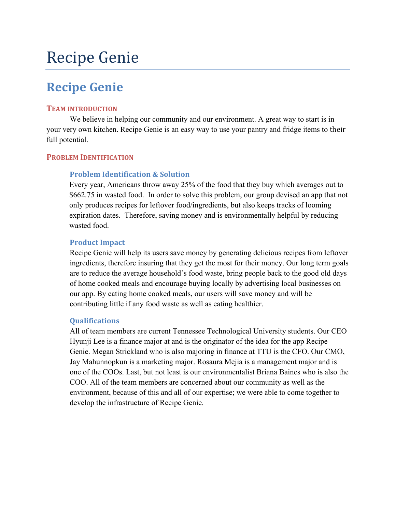# **Recipe Genie**

# **Recipe Genie**

#### **TEAM INTRODUCTION**

We believe in helping our community and our environment. A great way to start is in your very own kitchen. Recipe Genie is an easy way to use your pantry and fridge items to their full potential.

#### **PROBLEM IDENTIFICATION**

## **Problem Identification & Solution**

Every year, Americans throw away 25% of the food that they buy which averages out to \$662.75 in wasted food. In order to solve this problem, our group devised an app that not only produces recipes for leftover food/ingredients, but also keeps tracks of looming expiration dates. Therefore, saving money and is environmentally helpful by reducing wasted food.

#### **Product Impact**

Recipe Genie will help its users save money by generating delicious recipes from leftover ingredients, therefore insuring that they get the most for their money. Our long term goals are to reduce the average household's food waste, bring people back to the good old days of home cooked meals and encourage buying locally by advertising local businesses on our app. By eating home cooked meals, our users will save money and will be contributing little if any food waste as well as eating healthier.

#### **Qualifications**

All of team members are current Tennessee Technological University students. Our CEO Hyunji Lee is a finance major at and is the originator of the idea for the app Recipe Genie. Megan Strickland who is also majoring in finance at TTU is the CFO. Our CMO, Jay Mahunnopkun is a marketing major. Rosaura Mejia is a management major and is one of the COOs. Last, but not least is our environmentalist Briana Baines who is also the COO. All of the team members are concerned about our community as well as the environment, because of this and all of our expertise; we were able to come together to develop the infrastructure of Recipe Genie.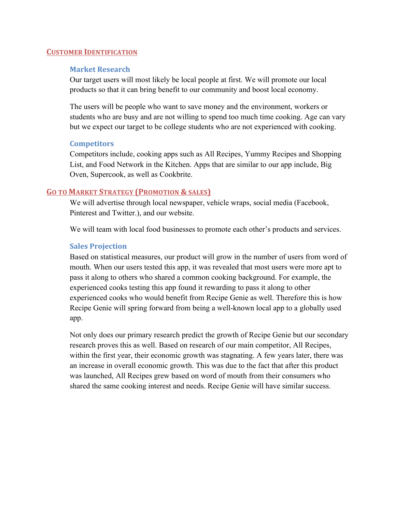#### **CUSTOMER IDENTIFICATION**

#### **Market Research**

Our target users will most likely be local people at first. We will promote our local products so that it can bring benefit to our community and boost local economy.

The users will be people who want to save money and the environment, workers or students who are busy and are not willing to spend too much time cooking. Age can vary but we expect our target to be college students who are not experienced with cooking.

#### **Competitors**

Competitors include, cooking apps such as All Recipes, Yummy Recipes and Shopping List, and Food Network in the Kitchen. Apps that are similar to our app include, Big Oven, Supercook, as well as Cookbrite.

#### **GO TO MARKET STRATEGY (PROMOTION & SALES)**

We will advertise through local newspaper, vehicle wraps, social media (Facebook, Pinterest and Twitter.), and our website.

We will team with local food businesses to promote each other's products and services.

#### **Sales Projection**

Based on statistical measures, our product will grow in the number of users from word of mouth. When our users tested this app, it was revealed that most users were more apt to pass it along to others who shared a common cooking background. For example, the experienced cooks testing this app found it rewarding to pass it along to other experienced cooks who would benefit from Recipe Genie as well. Therefore this is how Recipe Genie will spring forward from being a well-known local app to a globally used app.

Not only does our primary research predict the growth of Recipe Genie but our secondary research proves this as well. Based on research of our main competitor, All Recipes, within the first year, their economic growth was stagnating. A few years later, there was an increase in overall economic growth. This was due to the fact that after this product was launched, All Recipes grew based on word of mouth from their consumers who shared the same cooking interest and needs. Recipe Genie will have similar success.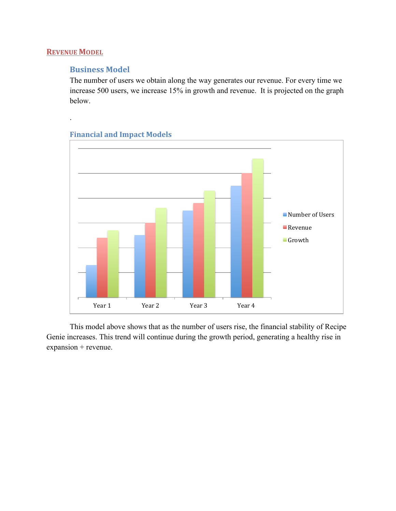# **REVENUE MODEL**

.

# **Business Model**

The number of users we obtain along the way generates our revenue. For every time we increase 500 users, we increase 15% in growth and revenue. It is projected on the graph below.



# **Financial and Impact Models**

This model above shows that as the number of users rise, the financial stability of Recipe Genie increases. This trend will continue during the growth period, generating a healthy rise in expansion + revenue.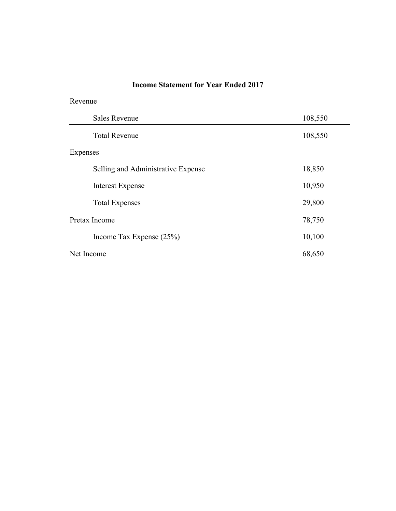# **Income Statement for Year Ended 2017**

Revenue

| <b>Sales Revenue</b>               | 108,550 |
|------------------------------------|---------|
| <b>Total Revenue</b>               | 108,550 |
| Expenses                           |         |
| Selling and Administrative Expense | 18,850  |
| <b>Interest Expense</b>            | 10,950  |
| <b>Total Expenses</b>              | 29,800  |
| Pretax Income                      | 78,750  |
| Income Tax Expense $(25%)$         | 10,100  |
| Net Income                         | 68,650  |